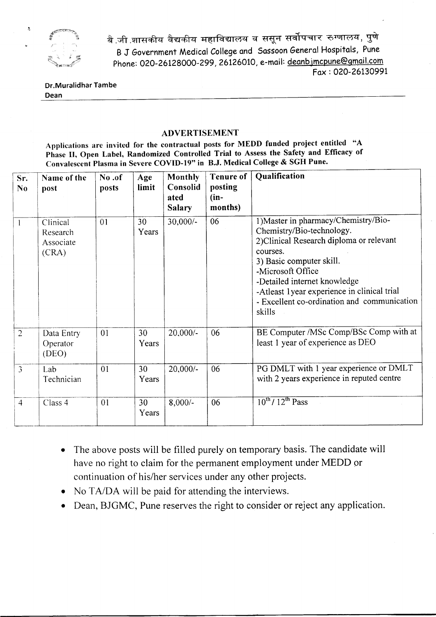

बै जी शासकीय वैद्यकीय महाविद्यालय व ससून सर्वोपचार रुग्णालय, पुणे B J Government Medical College and Sassoon General Hospitals, Pune Phone: 020-26128000-299, 26126010, e-mail: deanbjmcpune@gmail.com Fox: 020-2613O99t

## Dr.Muralidhar Tambe Dean

## **ADVERTISEMENT**

Applications are invited for the contractual posts for MEDD funded project entitled "A Phase II, Open Label, Randomized Controlled Trial to Assess the Safety and Efficacy of Convalescent Plasma in Severe COVID-I9" in B.J. Medical College & SGH Pune.

| Sr.<br>No      | Name of the<br>post                        | No.of<br>posts | Age<br>limit | Monthly<br>Consolid<br>ated<br><b>Salary</b> | <b>Tenure of</b><br>posting<br>$(in-$<br>months) | <b>Qualification</b>                                                                                                                                                                                                                                                                                                |
|----------------|--------------------------------------------|----------------|--------------|----------------------------------------------|--------------------------------------------------|---------------------------------------------------------------------------------------------------------------------------------------------------------------------------------------------------------------------------------------------------------------------------------------------------------------------|
|                | Clinical<br>Research<br>Associate<br>(CRA) | 01             | 30<br>Years  | $30,000/-$                                   | 06                                               | 1) Master in pharmacy/Chemistry/Bio-<br>Chemistry/Bio-technology.<br>2) Clinical Research diploma or relevant<br>courses.<br>3) Basic computer skill.<br>-Microsoft Office<br>-Detailed internet knowledge<br>-Atleast 1 year experience in clinical trial<br>- Excellent co-ordination and communication<br>skills |
| $\overline{2}$ | Data Entry<br>Operator<br>(DEO)            | 01             | 30<br>Years  | $20,000/-$                                   | 06                                               | BE Computer /MSc Comp/BSc Comp with at<br>least 1 year of experience as DEO                                                                                                                                                                                                                                         |
| $\overline{3}$ | Lab<br>Technician                          | 01             | 30<br>Years  | $20,000/-$                                   | 06                                               | PG DMLT with 1 year experience or DMLT<br>with 2 years experience in reputed centre                                                                                                                                                                                                                                 |
| $\overline{4}$ | Class 4                                    | 01             | 30<br>Years  | $8,000/-$                                    | 06                                               | $10^{th}$ / $12^{th}$ Pass                                                                                                                                                                                                                                                                                          |

- The above posts will be filled purely on temporary basis. The candidate will have no right to claim for the permanent employment under MEDD or continuation of his/her services under any other projects.
- No TA/DA will be paid for attending the interviews.
- Dean, BJGMC, Pune reserves the right to consider or reject any application.

 $\ddot{z}$